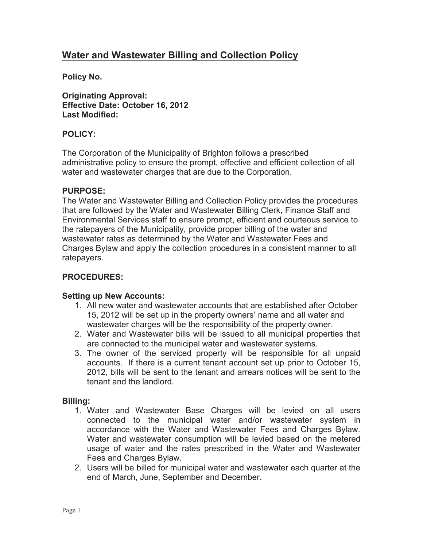# **Water and Wastewater Billing and Collection Policy**

**Policy No.** 

**Originating Approval: Effective Date: October 16, 2012 Last Modified:** 

# **POLICY:**

 The Corporation of the Municipality of Brighton follows a prescribed administrative policy to ensure the prompt, effective and efficient collection of all water and wastewater charges that are due to the Corporation.

### **PURPOSE:**

 The Water and Wastewater Billing and Collection Policy provides the procedures that are followed by the Water and Wastewater Billing Clerk, Finance Staff and Environmental Services staff to ensure prompt, efficient and courteous service to the ratepayers of the Municipality, provide proper billing of the water and wastewater rates as determined by the Water and Wastewater Fees and Charges Bylaw and apply the collection procedures in a consistent manner to all ratepayers.

### **PROCEDURES:**

### **Setting up New Accounts:**

- 1. All new water and wastewater accounts that are established after October 15, 2012 will be set up in the property owners' name and all water and wastewater charges will be the responsibility of the property owner.
- 2. Water and Wastewater bills will be issued to all municipal properties that are connected to the municipal water and wastewater systems.
- 3. The owner of the serviced property will be responsible for all unpaid accounts. If there is a current tenant account set up prior to October 15, 2012, bills will be sent to the tenant and arrears notices will be sent to the tenant and the landlord.

### **Billing:**

- 1. Water and Wastewater Base Charges will be levied on all users connected to the municipal water and/or wastewater system in accordance with the Water and Wastewater Fees and Charges Bylaw. Water and wastewater consumption will be levied based on the metered usage of water and the rates prescribed in the Water and Wastewater Fees and Charges Bylaw.
- 2. Users will be billed for municipal water and wastewater each quarter at the end of March, June, September and December.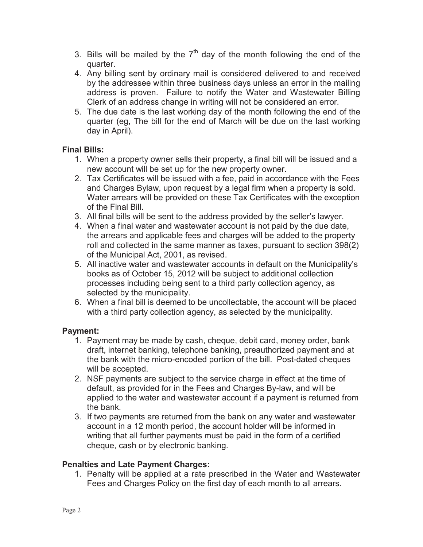- 3. Bills will be mailed by the  $7<sup>th</sup>$  day of the month following the end of the quarter.
- 4. Any billing sent by ordinary mail is considered delivered to and received by the addressee within three business days unless an error in the mailing address is proven. Failure to notify the Water and Wastewater Billing Clerk of an address change in writing will not be considered an error.
- 5. The due date is the last working day of the month following the end of the quarter (eg, The bill for the end of March will be due on the last working day in April).

# **Final Bills:**

- 1. When a property owner sells their property, a final bill will be issued and a new account will be set up for the new property owner.
- 2. Tax Certificates will be issued with a fee, paid in accordance with the Fees and Charges Bylaw, upon request by a legal firm when a property is sold. Water arrears will be provided on these Tax Certificates with the exception of the Final Bill.
- 3. All final bills will be sent to the address provided by the seller's lawyer.
- 4. When a final water and wastewater account is not paid by the due date, the arrears and applicable fees and charges will be added to the property roll and collected in the same manner as taxes, pursuant to section 398(2) of the Municipal Act, 2001, as revised.
- 5. All inactive water and wastewater accounts in default on the Municipality's books as of October 15, 2012 will be subject to additional collection processes including being sent to a third party collection agency, as selected by the municipality.
- 6. When a final bill is deemed to be uncollectable, the account will be placed with a third party collection agency, as selected by the municipality.

# **Payment:**

- 1. Payment may be made by cash, cheque, debit card, money order, bank draft, internet banking, telephone banking, preauthorized payment and at the bank with the micro-encoded portion of the bill. Post-dated cheques will be accepted.
- 2. NSF payments are subject to the service charge in effect at the time of default, as provided for in the Fees and Charges By-law, and will be applied to the water and wastewater account if a payment is returned from the bank.
- 3. If two payments are returned from the bank on any water and wastewater account in a 12 month period, the account holder will be informed in writing that all further payments must be paid in the form of a certified cheque, cash or by electronic banking.

### **Penalties and Late Payment Charges:**

 1. Penalty will be applied at a rate prescribed in the Water and Wastewater Fees and Charges Policy on the first day of each month to all arrears.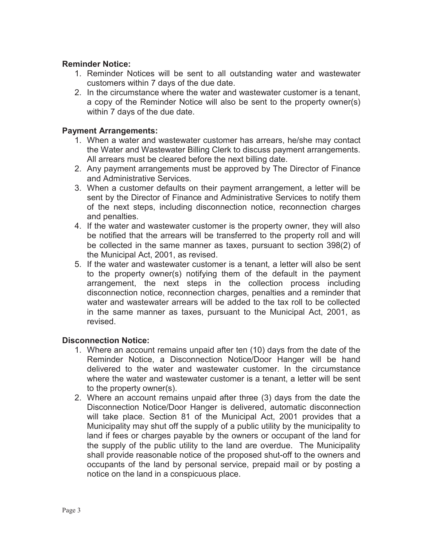### **Reminder Notice:**

- 1. Reminder Notices will be sent to all outstanding water and wastewater customers within 7 days of the due date.
- 2. In the circumstance where the water and wastewater customer is a tenant, a copy of the Reminder Notice will also be sent to the property owner(s) within 7 days of the due date.

### **Payment Arrangements:**

- 1. When a water and wastewater customer has arrears, he/she may contact the Water and Wastewater Billing Clerk to discuss payment arrangements. All arrears must be cleared before the next billing date.
- 2. Any payment arrangements must be approved by The Director of Finance and Administrative Services.
- 3. When a customer defaults on their payment arrangement, a letter will be sent by the Director of Finance and Administrative Services to notify them of the next steps, including disconnection notice, reconnection charges and penalties.
- 4. If the water and wastewater customer is the property owner, they will also be notified that the arrears will be transferred to the property roll and will be collected in the same manner as taxes, pursuant to section 398(2) of the Municipal Act, 2001, as revised.
- 5. If the water and wastewater customer is a tenant, a letter will also be sent to the property owner(s) notifying them of the default in the payment arrangement, the next steps in the collection process including disconnection notice, reconnection charges, penalties and a reminder that water and wastewater arrears will be added to the tax roll to be collected in the same manner as taxes, pursuant to the Municipal Act, 2001, as revised.

### **Disconnection Notice:**

- 1. Where an account remains unpaid after ten (10) days from the date of the Reminder Notice, a Disconnection Notice/Door Hanger will be hand delivered to the water and wastewater customer. In the circumstance where the water and wastewater customer is a tenant, a letter will be sent to the property owner(s).
- 2. Where an account remains unpaid after three (3) days from the date the will take place. Section 81 of the Municipal Act, 2001 provides that a Municipality may shut off the supply of a public utility by the municipality to land if fees or charges payable by the owners or occupant of the land for the supply of the public utility to the land are overdue. The Municipality shall provide reasonable notice of the proposed shut-off to the owners and occupants of the land by personal service, prepaid mail or by posting a notice on the land in a conspicuous place. Disconnection Notice/Door Hanger is delivered, automatic disconnection